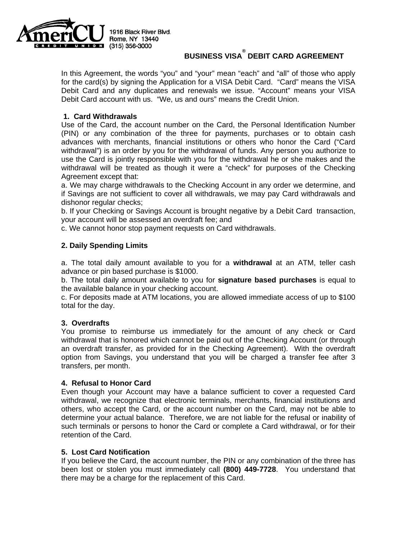

# **BUSINESS VISA DEBIT CARD AGREEMENT**

 for the card(s) by signing the Application for a VISA Debit Card. "Card" means the VISA Debit Card and any duplicates and renewals we issue. "Account" means your VISA In this Agreement, the words "you" and "your" mean "each" and "all" of those who apply Debit Card account with us. "We, us and ours" means the Credit Union.

# **1. Card Withdrawals**

 advances with merchants, financial institutions or others who honor the Card ("Card withdrawal") is an order by you for the withdrawal of funds. Any person you authorize to withdrawal will be treated as though it were a "check" for purposes of the Checking Use of the Card, the account number on the Card, the Personal Identification Number (PIN) or any combination of the three for payments, purchases or to obtain cash use the Card is jointly responsible with you for the withdrawal he or she makes and the Agreement except that:

 a. We may charge withdrawals to the Checking Account in any order we determine, and if Savings are not sufficient to cover all withdrawals, we may pay Card withdrawals and dishonor regular checks;

b. If your Checking or Savings Account is brought negative by a Debit Card transaction, your account will be assessed an overdraft fee; and

c. We cannot honor stop payment requests on Card withdrawals.

# **2. Daily Spending Limits**

a. The total daily amount available to you for a **withdrawal** at an ATM, teller cash advance or pin based purchase is \$1000.

 b. The total daily amount available to you for **signature based purchases** is equal to the available balance in your checking account.

c. For deposits made at ATM locations, you are allowed immediate access of up to \$100 total for the day.

# **3. Overdrafts**

 option from Savings, you understand that you will be charged a transfer fee after 3 You promise to reimburse us immediately for the amount of any check or Card withdrawal that is honored which cannot be paid out of the Checking Account (or through an overdraft transfer, as provided for in the Checking Agreement). With the overdraft transfers, per month.

# **4. Refusal to Honor Card**

 Even though your Account may have a balance sufficient to cover a requested Card such terminals or persons to honor the Card or complete a Card withdrawal, or for their withdrawal, we recognize that electronic terminals, merchants, financial institutions and others, who accept the Card, or the account number on the Card, may not be able to determine your actual balance. Therefore, we are not liable for the refusal or inability of retention of the Card.

# **5. Lost Card Notification**

 been lost or stolen you must immediately call **(800) 449-7728**. You understand that If you believe the Card, the account number, the PIN or any combination of the three has there may be a charge for the replacement of this Card.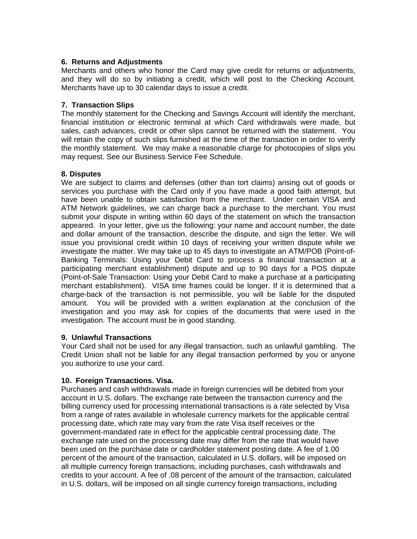# **6. Returns and Adjustments**

 and they will do so by initiating a credit, which will post to the Checking Account. Merchants and others who honor the Card may give credit for returns or adjustments, Merchants have up to 30 calendar days to issue a credit.

# **7. Transaction Slips**

 will retain the copy of such slips furnished at the time of the transaction in order to verify The monthly statement for the Checking and Savings Account will identify the merchant, financial institution or electronic terminal at which Card withdrawals were made, but sales, cash advances, credit or other slips cannot be returned with the statement. You the monthly statement. We may make a reasonable charge for photocopies of slips you may request. See our Business Service Fee Schedule.

#### **8. Disputes**

 ATM Network guidelines, we can charge back a purchase to the merchant. You must and dollar amount of the transaction, describe the dispute, and sign the letter. We will merchant establishment). VISA time frames could be longer. If it is determined that a amount. You will be provided with a written explanation at the conclusion of the investigation and you may ask for copies of the documents that were used in the We are subject to claims and defenses (other than tort claims) arising out of goods or services you purchase with the Card only if you have made a good faith attempt, but have been unable to obtain satisfaction from the merchant. Under certain VISA and submit your dispute in writing within 60 days of the statement on which the transaction appeared. In your letter, give us the following: your name and account number, the date issue you provisional credit within 10 days of receiving your written dispute while we investigate the matter. We may take up to 45 days to investigate an ATM/POB (Point-of-Banking Terminals: Using your Debit Card to process a financial transaction at a participating merchant establishment) dispute and up to 90 days for a POS dispute (Point-of-Sale Transaction: Using your Debit Card to make a purchase at a participating charge-back of the transaction is not permissible, you will be liable for the disputed investigation. The account must be in good standing.

#### **9. Unlawful Transactions**

 Your Card shall not be used for any illegal transaction, such as unlawful gambling. The Credit Union shall not be liable for any illegal transaction performed by you or anyone  you authorize to use your card.

#### **10. Foreign Transactions. Visa.**

Purchases and cash withdrawals made in foreign currencies will be debited from your account in U.S. dollars. The exchange rate between the transaction currency and the billing currency used for processing international transactions is a rate selected by Visa from a range of rates available in wholesale currency markets for the applicable central processing date, which rate may vary from the rate Visa itself receives or the government-mandated rate in effect for the applicable central processing date. The exchange rate used on the processing date may differ from the rate that would have been used on the purchase date or cardholder statement posting date. A fee of 1.00 percent of the amount of the transaction, calculated in U.S. dollars, will be imposed on all multiple currency foreign transactions, including purchases, cash withdrawals and credits to your account. A fee of .08 percent of the amount of the transaction, calculated in U.S. dollars, will be imposed on all single currency foreign transactions, including